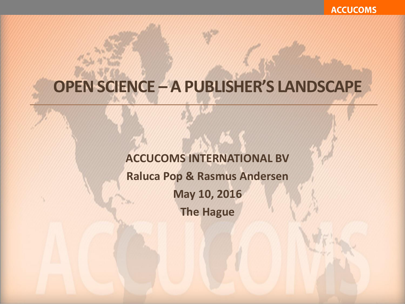**ACCUCOMS** 

### **OPEN SCIENCE – A PUBLISHER'S LANDSCAPE**

**ACCUCOMS INTERNATIONAL BV Raluca Pop & Rasmus Andersen May 10, 2016 The Hague**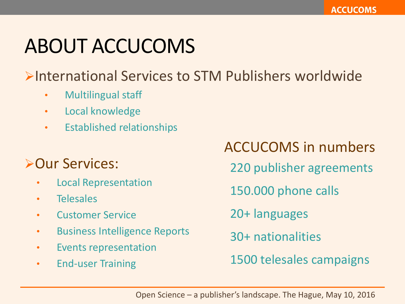# ABOUT ACCUCOMS

International Services to STM Publishers worldwide

- Multilingual staff
- Local knowledge
- Established relationships

### **>Our Services:**

- Local Representation
- Telesales
- Customer Service
- Business Intelligence Reports
- Events representation
- End-user Training

ACCUCOMS in numbers 220 publisher agreements 150.000 phone calls 20+ languages 30+ nationalities 1500 telesales campaigns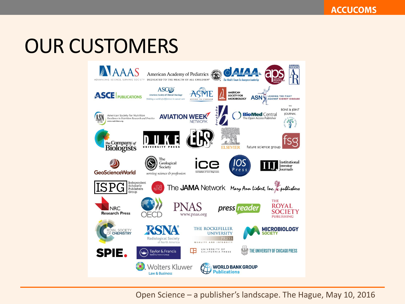### OUR CUSTOMERS

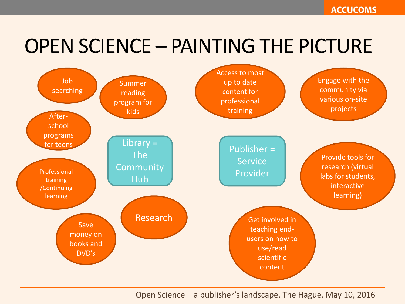### OPEN SCIENCE – PAINTING THE PICTURE

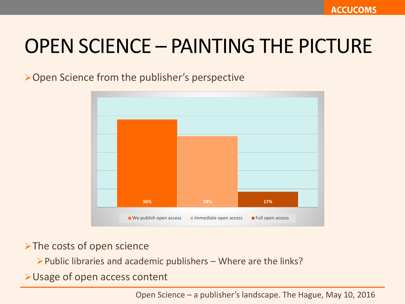### OPEN SCIENCE – PAINTING THE PICTURE

Open Science from the publisher's perspective



> The costs of open science

 $\triangleright$  Public libraries and academic publishers – Where are the links?

Usage of open access content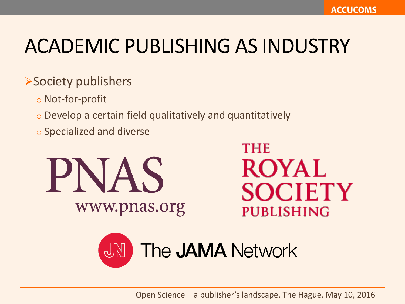### Society publishers

- o Not-for-profit
- o Develop a certain field qualitatively and quantitatively
- o Specialized and diverse



**THE** ROYAL **SOCIETY PUBLISHING** 

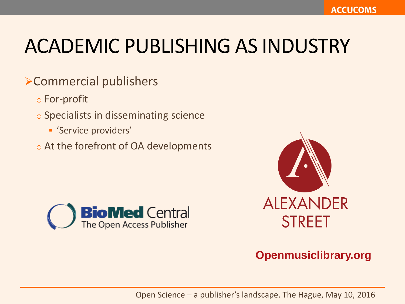### Commercial publishers

- o For-profit
- o Specialists in disseminating science
	- 'Service providers'
- o At the forefront of OA developments





#### **Openmusiclibrary.org**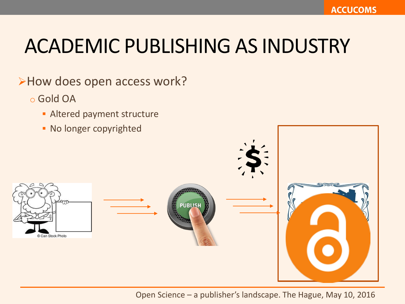#### >How does open access work?

- o Gold OA
	- **Altered payment structure**
	- No longer copyrighted

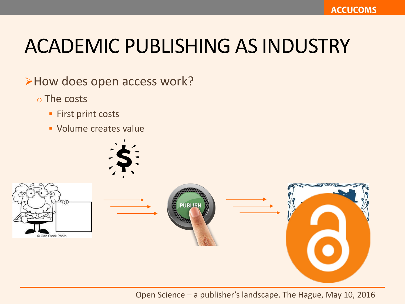>How does open access work?

- o The costs
	- **First print costs**
	- Volume creates value



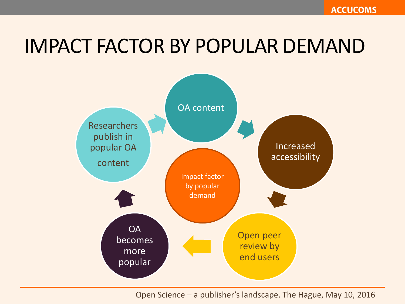### IMPACT FACTOR BY POPULAR DEMAND

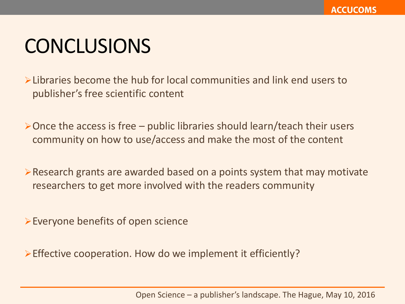### **CONCLUSIONS**

Libraries become the hub for local communities and link end users to publisher's free scientific content

 $\triangleright$  Once the access is free – public libraries should learn/teach their users community on how to use/access and make the most of the content

 $\triangleright$  Research grants are awarded based on a points system that may motivate researchers to get more involved with the readers community

Everyone benefits of open science

Effective cooperation. How do we implement it efficiently?